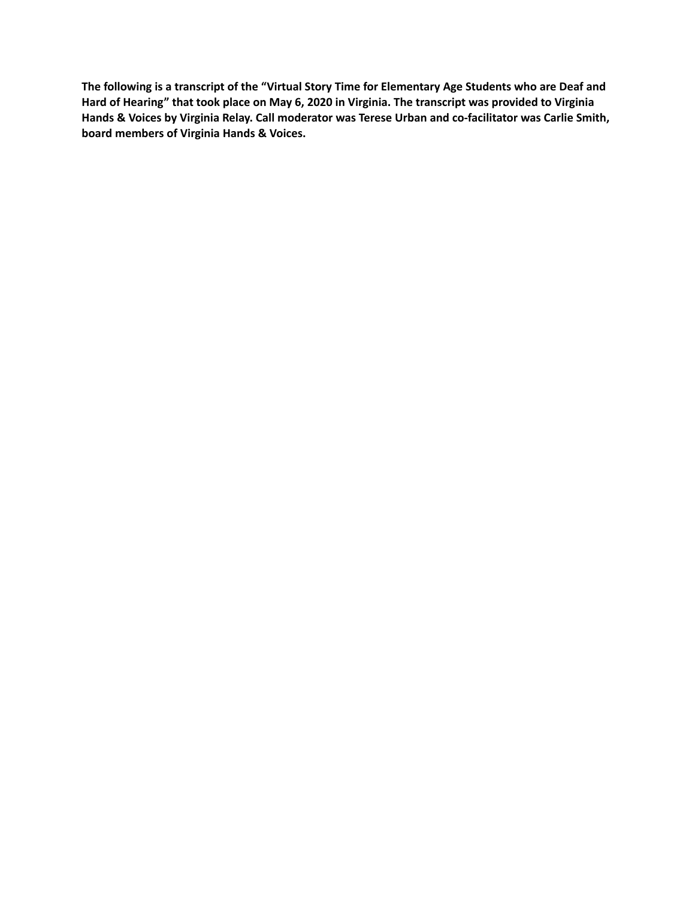**The following is a transcript of the "Virtual Story Time for Elementary Age Students who are Deaf and Hard of Hearing" that took place on May 6, 2020 in Virginia. The transcript was provided to Virginia Hands & Voices by Virginia Relay. Call moderator was Terese Urban and co-facilitator was Carlie Smith, board members of Virginia Hands & Voices.**